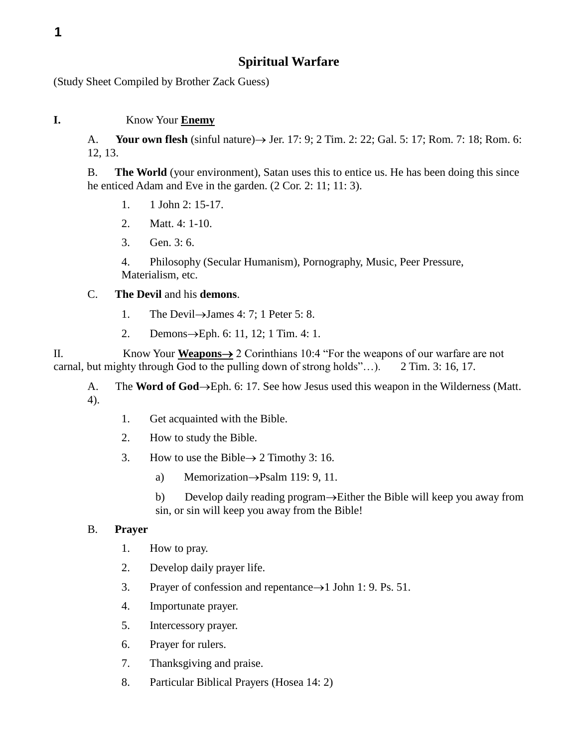(Study Sheet Compiled by Brother Zack Guess)

## **I.** Know Your **Enemy**

A. **Your own flesh** (sinful nature)  $\rightarrow$  Jer. 17: 9; 2 Tim. 2: 22; Gal. 5: 17; Rom. 7: 18; Rom. 6: 12, 13.

B. **The World** (your environment), Satan uses this to entice us. He has been doing this since he enticed Adam and Eve in the garden. (2 Cor. 2: 11; 11: 3).

- 1. 1 John 2: 15-17.
- 2. Matt. 4: 1-10.
- 3. Gen. 3: 6.

4. Philosophy (Secular Humanism), Pornography, Music, Peer Pressure, Materialism, etc.

## C. **The Devil** and his **demons**.

- 1. The Devil  $\rightarrow$  James 4: 7; 1 Peter 5: 8.
- 2. Demons $\rightarrow$ Eph. 6: 11, 12; 1 Tim. 4: 1.

II. Know Your **Weapons** 2 Corinthians 10:4 "For the weapons of our warfare are not carnal, but mighty through God to the pulling down of strong holds"…). 2 Tim. 3: 16, 17.

A. The **Word of God** $\rightarrow$ Eph. 6: 17. See how Jesus used this weapon in the Wilderness (Matt. 4).

- 1. Get acquainted with the Bible.
- 2. How to study the Bible.
- 3. How to use the Bible  $\rightarrow$  2 Timothy 3: 16.
	- a) Memorization $\rightarrow$ Psalm 119: 9, 11.
	- b) Develop daily reading program $\rightarrow$ Either the Bible will keep you away from sin, or sin will keep you away from the Bible!

## B. **Prayer**

- 1. How to pray.
- 2. Develop daily prayer life.
- 3. Prayer of confession and repentance  $\rightarrow$  1 John 1: 9. Ps. 51.
- 4. Importunate prayer.
- 5. Intercessory prayer.
- 6. Prayer for rulers.
- 7. Thanksgiving and praise.
- 8. Particular Biblical Prayers (Hosea 14: 2)